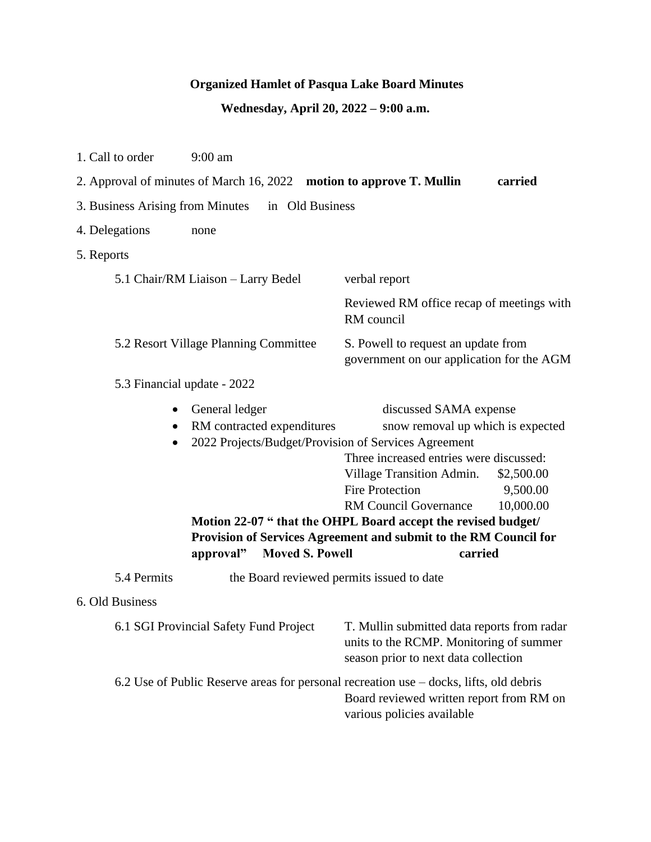## **Organized Hamlet of Pasqua Lake Board Minutes**

## **Wednesday, April 20, 2022 – 9:00 a.m.**

| 1. Call to order                                                                | $9:00$ am                                                                                                                                   |                                                                                                                                                                                                                                                                                                                                               |                                     |  |
|---------------------------------------------------------------------------------|---------------------------------------------------------------------------------------------------------------------------------------------|-----------------------------------------------------------------------------------------------------------------------------------------------------------------------------------------------------------------------------------------------------------------------------------------------------------------------------------------------|-------------------------------------|--|
| 2. Approval of minutes of March 16, 2022 motion to approve T. Mullin<br>carried |                                                                                                                                             |                                                                                                                                                                                                                                                                                                                                               |                                     |  |
| 3. Business Arising from Minutes<br>in Old Business                             |                                                                                                                                             |                                                                                                                                                                                                                                                                                                                                               |                                     |  |
| 4. Delegations                                                                  | none                                                                                                                                        |                                                                                                                                                                                                                                                                                                                                               |                                     |  |
| 5. Reports                                                                      |                                                                                                                                             |                                                                                                                                                                                                                                                                                                                                               |                                     |  |
| 5.1 Chair/RM Liaison - Larry Bedel                                              |                                                                                                                                             | verbal report                                                                                                                                                                                                                                                                                                                                 |                                     |  |
|                                                                                 |                                                                                                                                             | Reviewed RM office recap of meetings with<br>RM council                                                                                                                                                                                                                                                                                       |                                     |  |
| 5.2 Resort Village Planning Committee                                           |                                                                                                                                             | S. Powell to request an update from<br>government on our application for the AGM                                                                                                                                                                                                                                                              |                                     |  |
| 5.3 Financial update - 2022                                                     |                                                                                                                                             |                                                                                                                                                                                                                                                                                                                                               |                                     |  |
| $\bullet$<br>$\bullet$                                                          | General ledger<br>RM contracted expenditures<br>2022 Projects/Budget/Provision of Services Agreement<br><b>Moved S. Powell</b><br>approval" | discussed SAMA expense<br>snow removal up which is expected<br>Three increased entries were discussed:<br>Village Transition Admin.<br><b>Fire Protection</b><br><b>RM Council Governance</b><br>Motion 22-07 " that the OHPL Board accept the revised budget/<br>Provision of Services Agreement and submit to the RM Council for<br>carried | \$2,500.00<br>9,500.00<br>10,000.00 |  |
| 5.4 Permits                                                                     | the Board reviewed permits issued to date                                                                                                   |                                                                                                                                                                                                                                                                                                                                               |                                     |  |
| 6. Old Business                                                                 |                                                                                                                                             |                                                                                                                                                                                                                                                                                                                                               |                                     |  |
| 6.1 SGI Provincial Safety Fund Project                                          |                                                                                                                                             | T. Mullin submitted data reports from radar<br>units to the RCMP. Monitoring of summer<br>season prior to next data collection                                                                                                                                                                                                                |                                     |  |
|                                                                                 |                                                                                                                                             | 6.2 Use of Public Reserve areas for personal recreation use – docks, lifts, old debris<br>Board reviewed written report from RM on<br>various policies available                                                                                                                                                                              |                                     |  |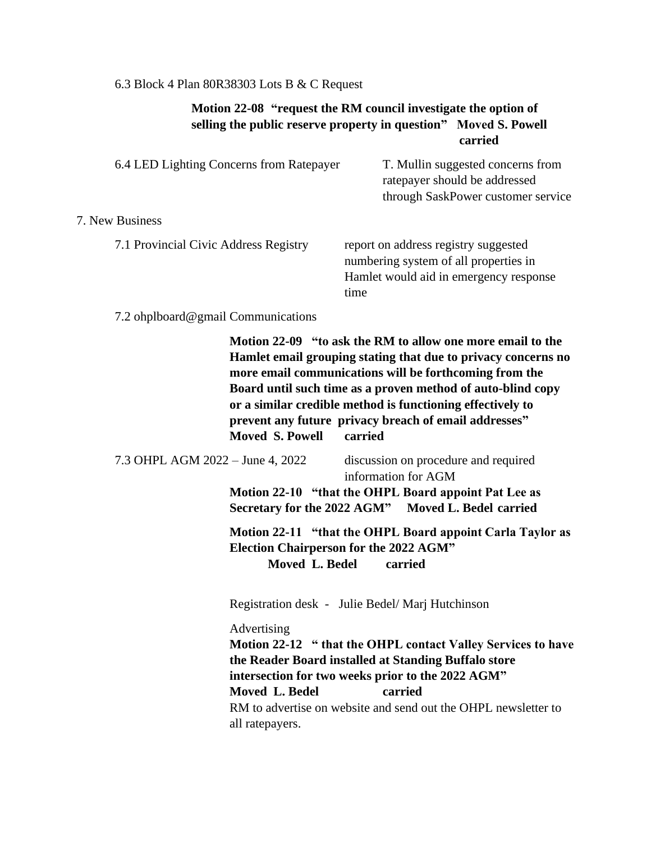## 6.3 Block 4 Plan 80R38303 Lots B & C Request

## **Motion 22-08 "request the RM council investigate the option of selling the public reserve property in question" Moved S. Powell carried**

| 6.4 LED Lighting Concerns from Ratepayer | T. Mullin suggested concerns from<br>ratepayer should be addressed<br>through SaskPower customer service                        |
|------------------------------------------|---------------------------------------------------------------------------------------------------------------------------------|
| 7. New Business                          |                                                                                                                                 |
| 7.1 Provincial Civic Address Registry    | report on address registry suggested<br>numbering system of all properties in<br>Hamlet would aid in emergency response<br>time |

7.2 ohplboard@gmail Communications

**Motion 22-09 "to ask the RM to allow one more email to the Hamlet email grouping stating that due to privacy concerns no more email communications will be forthcoming from the Board until such time as a proven method of auto-blind copy or a similar credible method is functioning effectively to prevent any future privacy breach of email addresses" Moved S. Powell carried**

7.3 OHPL AGM 2022 – June 4, 2022 discussion on procedure and required information for AGM

> **Motion 22-10 "that the OHPL Board appoint Pat Lee as Secretary for the 2022 AGM" Moved L. Bedel carried**

 **Motion 22-11 "that the OHPL Board appoint Carla Taylor as Election Chairperson for the 2022 AGM" Moved L. Bedel carried** 

Registration desk - Julie Bedel/ Marj Hutchinson

Advertising

**Motion 22-12 " that the OHPL contact Valley Services to have the Reader Board installed at Standing Buffalo store intersection for two weeks prior to the 2022 AGM" Moved L. Bedel carried**  RM to advertise on website and send out the OHPL newsletter to all ratepayers.